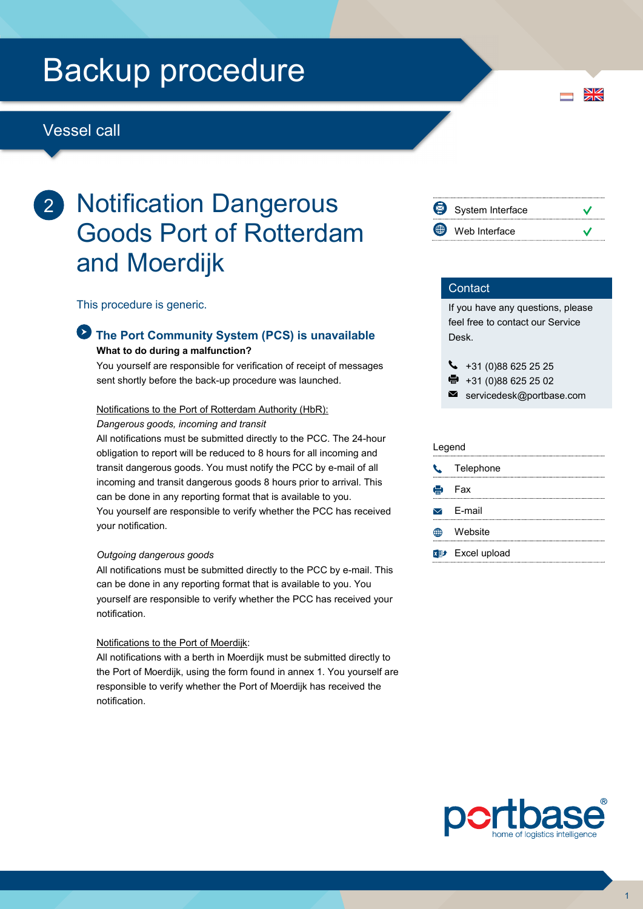# Backup procedure

# Vessel call

# 2 Notification Dangerous Goods Port of Rotterdam and Moerdijk

This procedure is generic.

## The Port Community System (PCS) is unavailable What to do during a malfunction?

You yourself are responsible for verification of receipt of messages sent shortly before the back-up procedure was launched.

### Notifications to the Port of Rotterdam Authority (HbR):

Dangerous goods, incoming and transit

All notifications must be submitted directly to the PCC. The 24-hour obligation to report will be reduced to 8 hours for all incoming and transit dangerous goods. You must notify the PCC by e-mail of all incoming and transit dangerous goods 8 hours prior to arrival. This can be done in any reporting format that is available to you. You yourself are responsible to verify whether the PCC has received your notification.

### Outgoing dangerous goods

All notifications must be submitted directly to the PCC by e-mail. This can be done in any reporting format that is available to you. You yourself are responsible to verify whether the PCC has received your notification.

### Notifications to the Port of Moerdijk:

All notifications with a berth in Moerdijk must be submitted directly to the Port of Moerdijk, using the form found in annex 1. You yourself are responsible to verify whether the Port of Moerdijk has received the notification.



 $\frac{N}{N}$ 

## **Contact**

If you have any questions, please feel free to contact our Service Desk.

 $\begin{array}{r} \bigstar \ *31 \ (0)88 \ 625 \ 25 \ 25 \end{array}$ 

- +31 (0)88 625 25 02
- $\blacksquare$ servicedesk@portbase.com

#### Legend

| <b>L</b> Telephone                  |
|-------------------------------------|
| e Fax                               |
| $\triangleright$ E-mail             |
| Website                             |
| <b>R</b> <sup>11</sup> Excel upload |

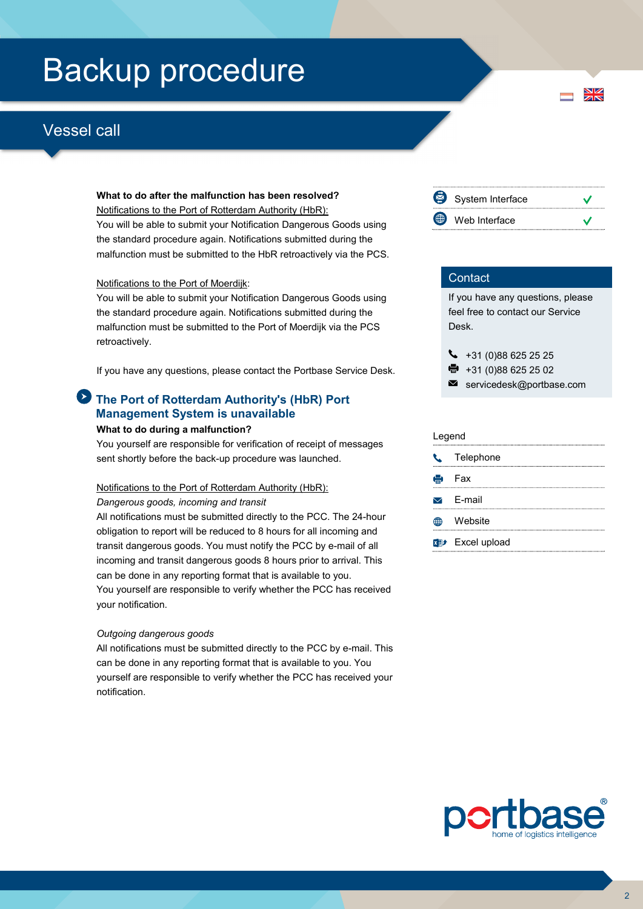# Backup procedure

# Vessel call

### What to do after the malfunction has been resolved?

Notifications to the Port of Rotterdam Authority (HbR): You will be able to submit your Notification Dangerous Goods using the standard procedure again. Notifications submitted during the malfunction must be submitted to the HbR retroactively via the PCS.

### Notifications to the Port of Moerdijk:

You will be able to submit your Notification Dangerous Goods using the standard procedure again. Notifications submitted during the malfunction must be submitted to the Port of Moerdijk via the PCS retroactively.

If you have any questions, please contact the Portbase Service Desk.

# The Port of Rotterdam Authority's (HbR) Port Management System is unavailable

#### What to do during a malfunction?

You yourself are responsible for verification of receipt of messages sent shortly before the back-up procedure was launched.

#### Notifications to the Port of Rotterdam Authority (HbR):

#### Dangerous goods, incoming and transit

All notifications must be submitted directly to the PCC. The 24-hour obligation to report will be reduced to 8 hours for all incoming and transit dangerous goods. You must notify the PCC by e-mail of all incoming and transit dangerous goods 8 hours prior to arrival. This can be done in any reporting format that is available to you. You yourself are responsible to verify whether the PCC has received your notification.

### Outgoing dangerous goods

All notifications must be submitted directly to the PCC by e-mail. This can be done in any reporting format that is available to you. You yourself are responsible to verify whether the PCC has received your notification.



 $\frac{N}{N}$ 

## **Contact**

If you have any questions, please feel free to contact our Service Desk.

 $\leftarrow$  +31 (0)88 625 25 25

● +31 (0)88 625 25 02

 $\blacksquare$  servicedesk@portbase.com

| Legend |                         |  |
|--------|-------------------------|--|
|        | C Telephone             |  |
|        | <b>e</b> Fax            |  |
|        | $\triangleright$ E-mail |  |
|        | Website                 |  |
|        | <b>Excel upload</b>     |  |

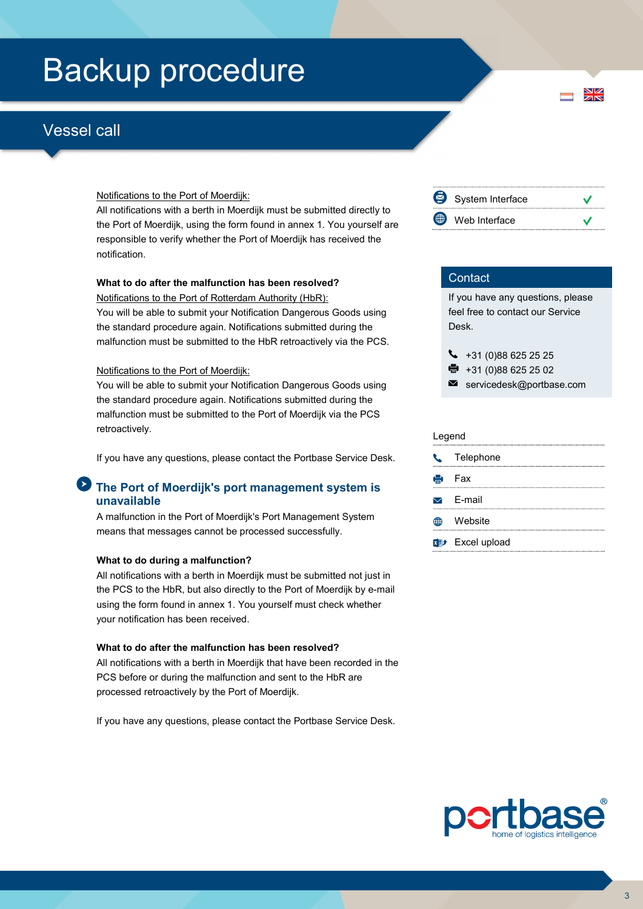# Backup procedure

# Vessel call

### Notifications to the Port of Moerdijk:

All notifications with a berth in Moerdijk must be submitted directly to the Port of Moerdijk, using the form found in annex 1. You yourself are responsible to verify whether the Port of Moerdijk has received the notification.

## What to do after the malfunction has been resolved?

Notifications to the Port of Rotterdam Authority (HbR): You will be able to submit your Notification Dangerous Goods using the standard procedure again. Notifications submitted during the malfunction must be submitted to the HbR retroactively via the PCS.

### Notifications to the Port of Moerdijk:

You will be able to submit your Notification Dangerous Goods using the standard procedure again. Notifications submitted during the malfunction must be submitted to the Port of Moerdijk via the PCS retroactively.

If you have any questions, please contact the Portbase Service Desk.

# The Port of Moerdijk's port management system is unavailable

A malfunction in the Port of Moerdijk's Port Management System means that messages cannot be processed successfully.

### What to do during a malfunction?

All notifications with a berth in Moerdijk must be submitted not just in the PCS to the HbR, but also directly to the Port of Moerdijk by e-mail using the form found in annex 1. You yourself must check whether your notification has been received.

#### What to do after the malfunction has been resolved?

All notifications with a berth in Moerdijk that have been recorded in the PCS before or during the malfunction and sent to the HbR are processed retroactively by the Port of Moerdijk.

If you have any questions, please contact the Portbase Service Desk.



## **Contact**

If you have any questions, please feel free to contact our Service Desk.

| $\begin{array}{cc} \big\downarrow & +31 \ (0)88 \ 625 \ 25 \ 25 \end{array}$ |  |
|------------------------------------------------------------------------------|--|
|------------------------------------------------------------------------------|--|

- +31 (0)88 625 25 02
- $\blacksquare$ servicedesk@portbase.com

| Legend |                         |  |
|--------|-------------------------|--|
|        | <b>L</b> Telephone      |  |
|        | <b>侵</b> Fax            |  |
|        | $\triangleright$ E-mail |  |
|        | Website                 |  |
|        | <b>Excel upload</b>     |  |



 $\frac{N}{N}$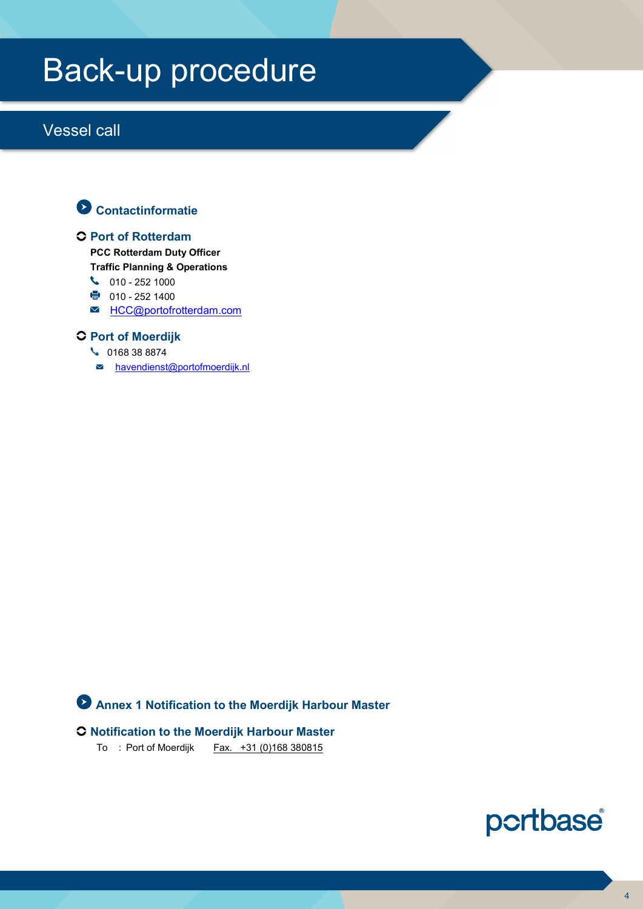# Back-up procedure

# Vessel call



## Port of Rotterdam

PCC Rotterdam Duty Officer

Traffic Planning & Operations

- $\begin{matrix} \bullet & 010 25211000 \end{matrix}$
- 010 252 1400
- M HCC@portofrotterdam.com

# **C** Port of Moerdijk

- 0168 38 8874
- $\blacksquare$  havendienst@portofmoerdijk.nl

# Annex 1 Notification to the Moerdijk Harbour Master

# Notification to the Moerdijk Harbour Master

To : Port of Moerdijk Fax. +31 (0)168 380815